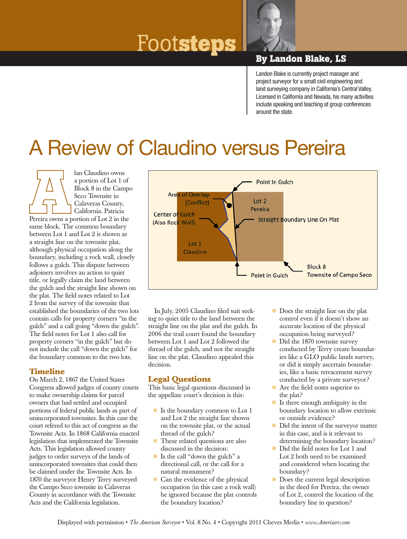# Foot**steps By Landon Blake, LS**



Landon Blake is currently project manager and project surveyor for a small civil engineering and land surveying company in California's Central Valley. Licensed in California and Nevada, his many activities include speaking and teaching at group conferences around the state.

## A Review of Claudino versus Pereira

lan Claudino owns a portion of Lot 1 of Block 8 in the Campo Seco Townsite in Calaveras County, California. Patricia Pereira owns a portion of Lot 2 in the same block. The common boundary between Lot 1 and Lot 2 is shown as a straight line on the townsite plat, although physical occupation along the boundary, including a rock wall, closely follows a gulch. This dispute between adjoiners involves an action to quiet title, or legally claim the land between the gulch and the straight line shown on the plat. The field notes related to Lot 2 from the survey of the townsite that established the boundaries of the two lots contain calls for property corners "in the gulch" and a call going "down the gulch". The field notes for Lot 1 also call for property corners "in the gulch" but do not include the call "down the gulch" for the boundary common to the two lots.

### **Timeline**

On March 2, 1867 the United States Congress allowed judges of county courts to make ownership claims for parcel owners that had settled and occupied portions of federal public lands as part of unincorporated townsites. In this case the court refered to this act of congress as the Townsite Acts. In 1868 California enacted legislation that implemented the Townsite Acts. This legislation allowed county judges to order surveys of the lands of unincorporated townsites that could then be claimed under the Townsite Acts. In 1870 the surveyor Henry Terry surveyed the Campo Seco townsite in Calaveras County in accordance with the Townsite Acts and the California legislation.



In July, 2005 Claudino filed suit seeking to quiet title to the land between the straight line on the plat and the gulch. In 2006 the trail court found the boundary between Lot 1 and Lot 2 followed the thread of the gulch, and not the straight line on the plat. Claudino appealed this decision.

### **Legal Questions**

This basic legal questions discussed in the appellate court's decision is this:

- Is the boundary common to Lot 1 and Lot 2 the straight line shown on the townsite plat, or the actual thread of the gulch?
- These related questions are also discussed in the decision:
- Is the call "down the gulch" a directional call, or the call for a natural monument?
- $\blacksquare$  Can the evidence of the physical occupation (in this case a rock wall) be ignored because the plat controls the boundary location?
- Does the straight line on the plat control even if it doesn't show an accurate location of the physical occupation being surveyed?
- Did the 1870 townsite survey conducted by Terry create boundaries like a GLO public lands survey, or did it simply ascertain boundaries, like a basic retracement survey conducted by a private surveyor?
- Are the field notes superior to the plat?
- $\blacksquare$  Is there enough ambiguity in the boundary location to allow extrinsic or outside evidence?
- Did the intent of the surveyor matter in this case, and is it relevant to determining the boundary location?
- Did the field notes for Lot 1 and Lot 2 both need to be examined and considered when locating the boundary?
- Does the current legal description in the deed for Pereira, the owner of Lot 2, control the location of the boundary line in question?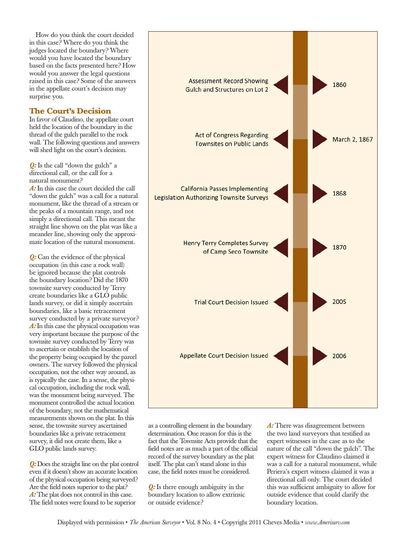How do you think the court decided in this case? Where do you think the judges located the boundary? Where would you have located the boundary based on the facts presented here? How would you answer the legal questions raised in this case? Some of the answers in the appellate court's decision may surprise you.

#### **The Court's Decision**

In favor of Claudino, the appellate court held the location of the boundary in the thread of the gulch parallel to the rock wall. The following questions and answers will shed light on the court's decision.

**Q:** Is the call "down the gulch" a directional call, or the call for a natural monument?

*A:* In this case the court decided the call "down the gulch" was a call for a natural monument, like the thread of a stream or the peaks of a mountain range, and not simply a directional call. This meant the straight line shown on the plat was like a meander line, showing only the approximate location of the natural monument.

*Q:* Can the evidence of the physical occupation (in this case a rock wall) be ignored because the plat controls the boundary location? Did the 1870 townsite survey conducted by Terry create boundaries like a GLO public lands survey, or did it simply ascertain boundaries, like a basic retracement survey conducted by a private surveyor? *A:* In this case the physical occupation was very important because the purpose of the townsite survey conducted by Terry was to ascertain or establish the location of the property being occupied by the parcel owners. The survey followed the physical occupation, not the other way around, as is typically the case. In a sense, the physical occupation, including the rock wall, was the monument being surveyed. The monument controlled the actual location of the boundary, not the mathematical measurements shown on the plat. In this sense, the townsite survey ascertained boundaries like a private retracement survey, it did not create them, like a GLO public lands survey.

*Q:* Does the straight line on the plat control even if it doesn't show an accurate location of the physical occupation being surveyed? Are the field notes superior to the plat? *A:* The plat does not control in this case. The field notes were found to be superior



as a controlling element in the boundary determination. One reason for this is the fact that the Townsite Acts provide that the field notes are as much a part of the official record of the survey boundary as the plat itself. The plat can't stand alone in this case, the field notes must be considered.

*Q:* Is there enough ambiguity in the boundary location to allow extrinsic or outside evidence?

A: There was disagreement between the two land surveyors that testified as expert witnesses in the case as to the nature of the call "down the gulch". The expert witness for Claudino claimed it was a call for a natural monument, while Periera's expert witness claimed it was a directional call only. The court decided this was sufficient ambiguity to allow for outside evidence that could clarify the boundary location.